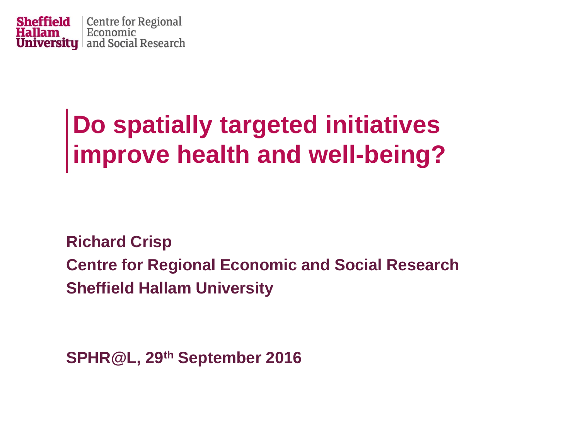

## **Do spatially targeted initiatives improve health and well-being?**

**Richard Crisp Centre for Regional Economic and Social Research Sheffield Hallam University**

**SPHR@L, 29th September 2016**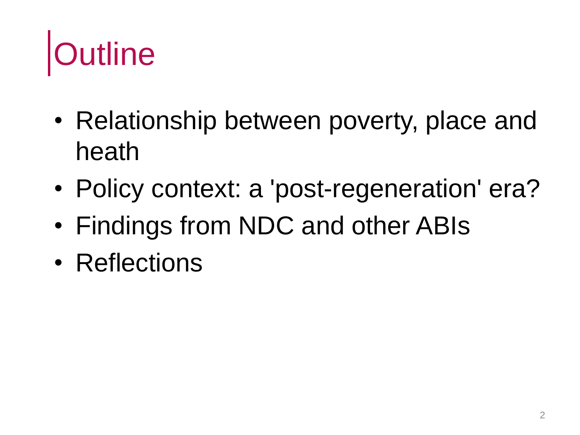# **Jutline**

- Relationship between poverty, place and heath
- Policy context: a 'post-regeneration' era?
- Findings from NDC and other ABIs
- Reflections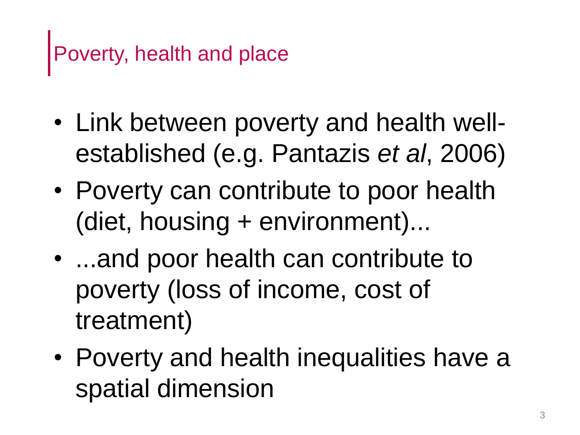- Link between poverty and health wellestablished (e.g. Pantazis *et al*, 2006)
- Poverty can contribute to poor health (diet, housing + environment)...
- ...and poor health can contribute to poverty (loss of income, cost of treatment)
- Poverty and health inequalities have a spatial dimension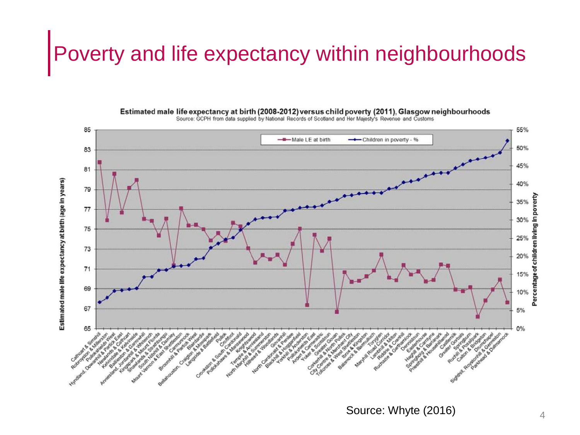## Poverty and life expectancy within neighbourhoods



Estimated male life expectancy at birth (2008-2012) versus child poverty (2011), Glasgow neighbourhoods<br>Source: GCPH from data supplied by National Records of Scotland and Her Majesty's Revenue and Customs

Source: Whyte (2016)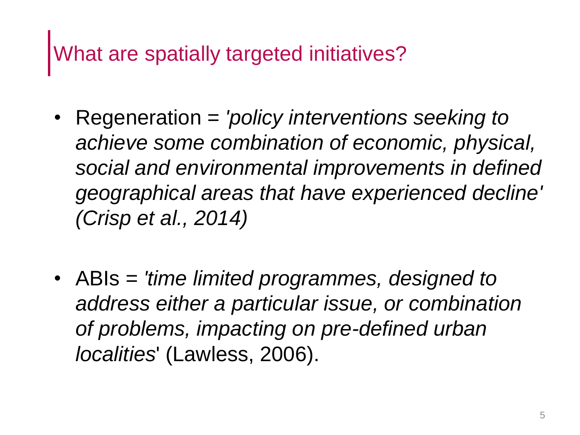## What are spatially targeted initiatives?

- Regeneration = *'policy interventions seeking to achieve some combination of economic, physical, social and environmental improvements in defined geographical areas that have experienced decline' (Crisp et al., 2014)*
- ABIs = *'time limited programmes, designed to address either a particular issue, or combination of problems, impacting on pre-defined urban localities*' (Lawless, 2006).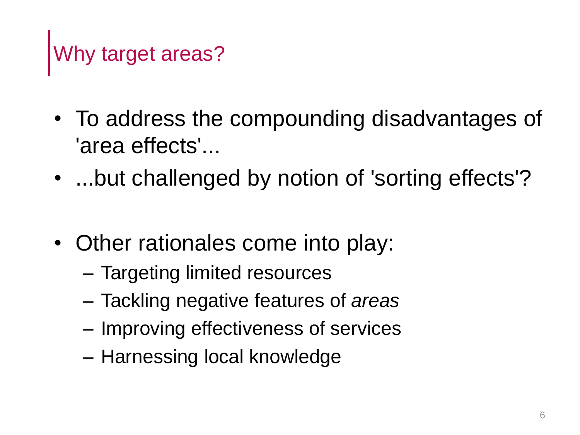# Why target areas?

- To address the compounding disadvantages of 'area effects'...
- ...but challenged by notion of 'sorting effects'?
- Other rationales come into play:
	- Targeting limited resources
	- Tackling negative features of *areas*
	- Improving effectiveness of services
	- Harnessing local knowledge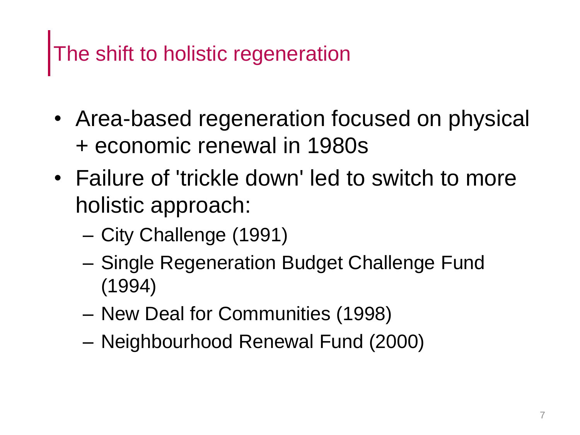## The shift to holistic regeneration

- Area-based regeneration focused on physical + economic renewal in 1980s
- Failure of 'trickle down' led to switch to more holistic approach:
	- City Challenge (1991)
	- Single Regeneration Budget Challenge Fund (1994)
	- New Deal for Communities (1998)
	- Neighbourhood Renewal Fund (2000)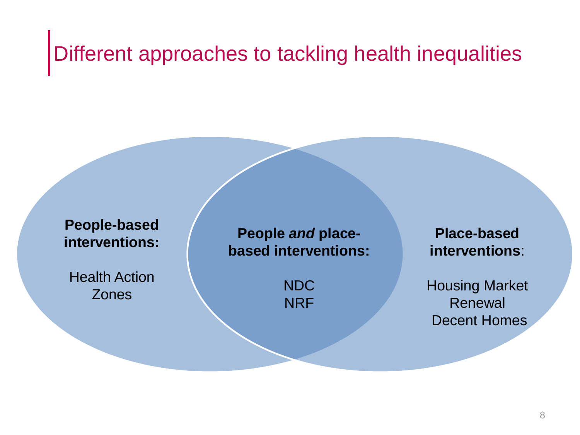## Different approaches to tackling health inequalities

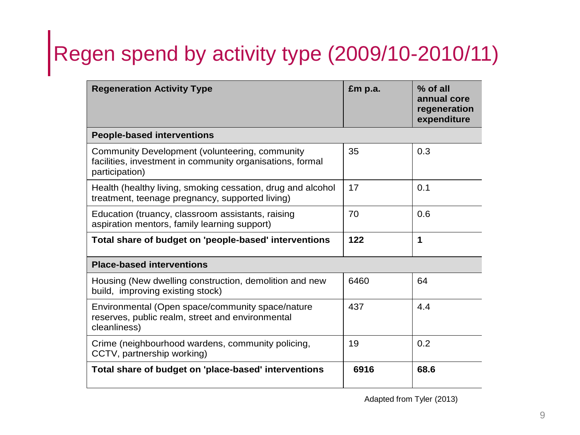# Regen spend by activity type (2009/10-2010/11)

| <b>Regeneration Activity Type</b>                                                                                             | £m p.a. | $%$ of all<br>annual core<br>regeneration<br>expenditure |
|-------------------------------------------------------------------------------------------------------------------------------|---------|----------------------------------------------------------|
| <b>People-based interventions</b>                                                                                             |         |                                                          |
| Community Development (volunteering, community<br>facilities, investment in community organisations, formal<br>participation) | 35      | 0.3                                                      |
| Health (healthy living, smoking cessation, drug and alcohol<br>treatment, teenage pregnancy, supported living)                | 17      | 0.1                                                      |
| Education (truancy, classroom assistants, raising<br>aspiration mentors, family learning support)                             | 70      | 0.6                                                      |
| Total share of budget on 'people-based' interventions                                                                         | 122     | 1                                                        |
| <b>Place-based interventions</b>                                                                                              |         |                                                          |
| Housing (New dwelling construction, demolition and new<br>build, improving existing stock)                                    | 6460    | 64                                                       |
| Environmental (Open space/community space/nature<br>reserves, public realm, street and environmental<br>cleanliness)          | 437     | 4.4                                                      |
| Crime (neighbourhood wardens, community policing,<br>CCTV, partnership working)                                               | 19      | 0.2                                                      |
| Total share of budget on 'place-based' interventions                                                                          | 6916    | 68.6                                                     |

Adapted from Tyler (2013)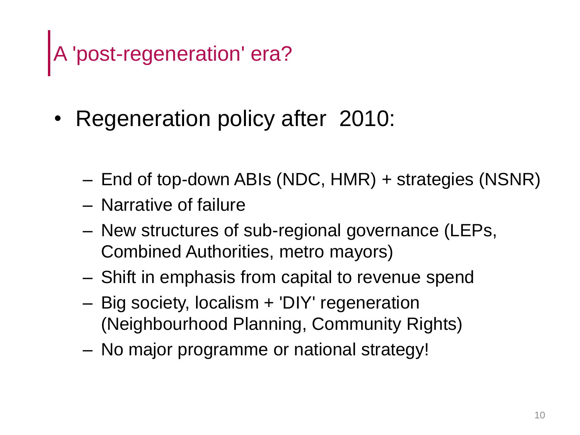# A 'post-regeneration' era?

- Regeneration policy after 2010:
	- End of top-down ABIs (NDC, HMR) + strategies (NSNR)
	- Narrative of failure
	- New structures of sub-regional governance (LEPs, Combined Authorities, metro mayors)
	- Shift in emphasis from capital to revenue spend
	- Big society, localism + 'DIY' regeneration (Neighbourhood Planning, Community Rights)
	- No major programme or national strategy!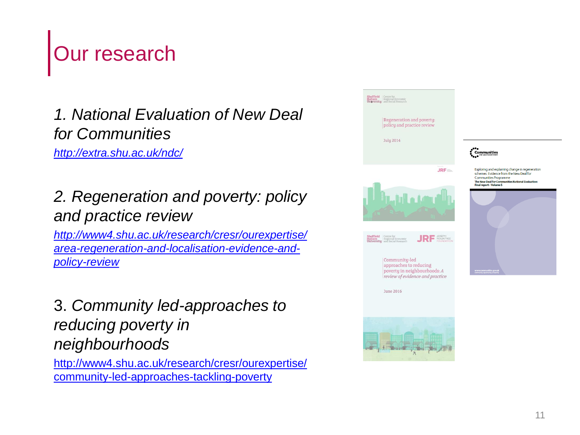## Our research

## *1. National Evaluation of New Deal for Communities*

*<http://extra.shu.ac.uk/ndc/>*

## *2. Regeneration and poverty: policy and practice review*

*http://www4.shu.ac.uk/research/cresr/ourexpertise/ [area-regeneration-and-localisation-evidence-and](http://www4.shu.ac.uk/research/cresr/ourexpertise/area-regeneration-and-localisation-evidence-and-policy-review)policy-review*

### 3. *Community led-approaches to reducing poverty in neighbourhoods*

[http://www4.shu.ac.uk/research/cresr/ourexpertise/](http://www4.shu.ac.uk/research/cresr/ourexpertise/community-led-approaches-tackling-poverty) community-led-approaches-tackling-poverty

| <b>Sheffield</b> Centre for<br><b>Hallam</b> Regional Economic<br><b>University</b> and Social Research<br>Regeneration and poverty:<br>policy and practice review<br><b>July 2014</b>                                                              | <b>Communities</b>                                                                                                                                                                            |
|-----------------------------------------------------------------------------------------------------------------------------------------------------------------------------------------------------------------------------------------------------|-----------------------------------------------------------------------------------------------------------------------------------------------------------------------------------------------|
| $JRF =$                                                                                                                                                                                                                                             | Exploring and explaining change in regen<br>schemes: Evidence from the New Deal for<br><b>Communities Programme</b><br>The New Deal for Communities National Evalu<br>Final report - Volume 5 |
| <b>Sheffield</b> Centre for<br><b>Hallam</b> Regional Economic<br><b>University</b> and Social Research<br>JOSEPH<br>JRI<br>Community-led<br>approaches to reducing<br>poverty in neighbourhoods: A<br>review of evidence and practice<br>June 2016 |                                                                                                                                                                                               |
| λ                                                                                                                                                                                                                                                   |                                                                                                                                                                                               |

**ration**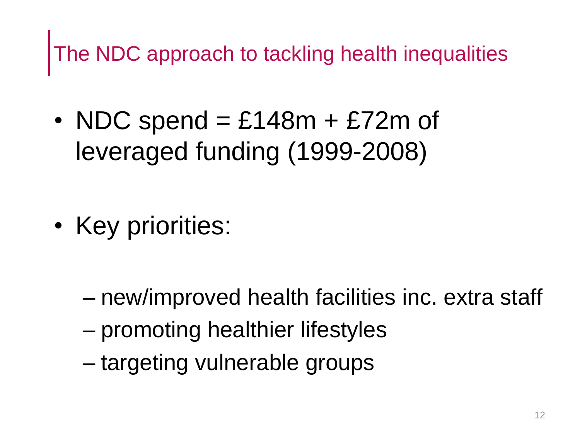The NDC approach to tackling health inequalities

- NDC spend  $=$  £148m  $+$  £72m of leveraged funding (1999-2008)
- Key priorities:

- new/improved health facilities inc. extra staff
- promoting healthier lifestyles
- targeting vulnerable groups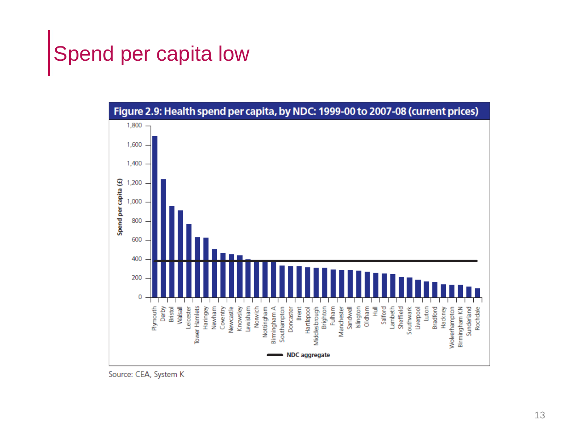## Spend per capita low



Source: CEA, System K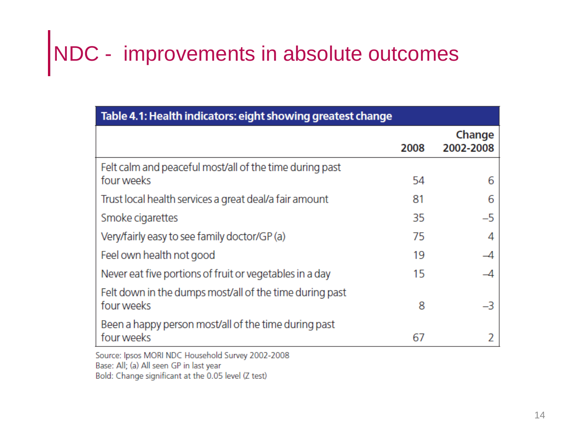# NDC - improvements in absolute outcomes

| Table 4.1: Health indicators: eight showing greatest change           |      |                     |
|-----------------------------------------------------------------------|------|---------------------|
|                                                                       | 2008 | Change<br>2002-2008 |
| Felt calm and peaceful most/all of the time during past<br>four weeks | 54   | 6                   |
| Trust local health services a great deal/a fair amount                | 81   | 6                   |
| Smoke cigarettes                                                      | 35   | $-5$                |
| Very/fairly easy to see family doctor/GP (a)                          | 75   |                     |
| Feel own health not good                                              | 19   |                     |
| Never eat five portions of fruit or vegetables in a day               | 15   |                     |
| Felt down in the dumps most/all of the time during past<br>four weeks | 8    | $-3$                |
| Been a happy person most/all of the time during past<br>four weeks    | 67   |                     |

Source: Ipsos MORI NDC Household Survey 2002-2008 Base: All; (a) All seen GP in last year Bold: Change significant at the 0.05 level (Z test)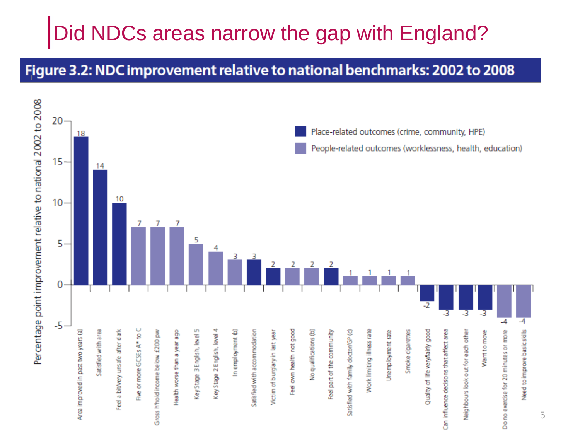## Did NDCs areas narrow the gap with England?

#### Figure 3.2: NDC improvement relative to national benchmarks: 2002 to 2008

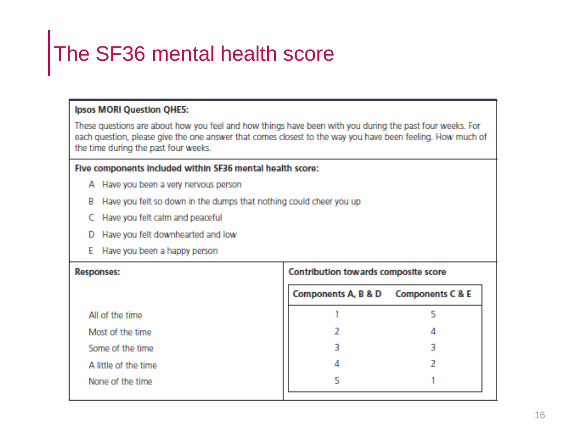## The SF36 mental health score

#### **Ipsos MORI Question QHE5:**

These questions are about how you feel and how things have been with you during the past four weeks. For each question, please give the one answer that comes closest to the way you have been feeling. How much of the time during the past four weeks.

#### Five components included within SF36 mental health score:

- A Have you been a very nervous person
- B Have you felt so down in the dumps that nothing could cheer you up
- C Have you felt calm and peaceful
- D Have you felt downhearted and low
- E Have you been a happy person

| Contribution towards composite score |  |  |
|--------------------------------------|--|--|
|                                      |  |  |
|                                      |  |  |
|                                      |  |  |
|                                      |  |  |
|                                      |  |  |
|                                      |  |  |
| Components A, B & D Components C & E |  |  |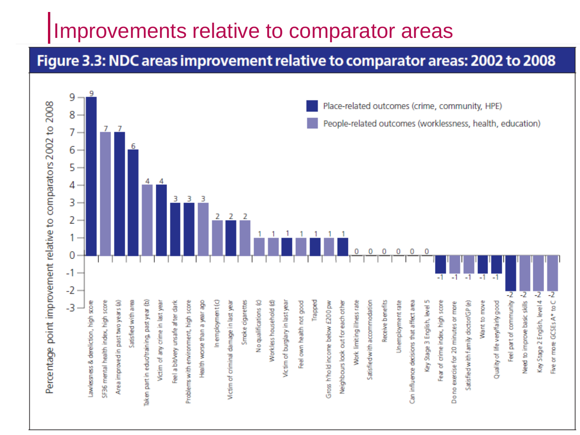## Improvements relative to comparator areas

### Figure 3.3: NDC areas improvement relative to comparator areas: 2002 to 2008

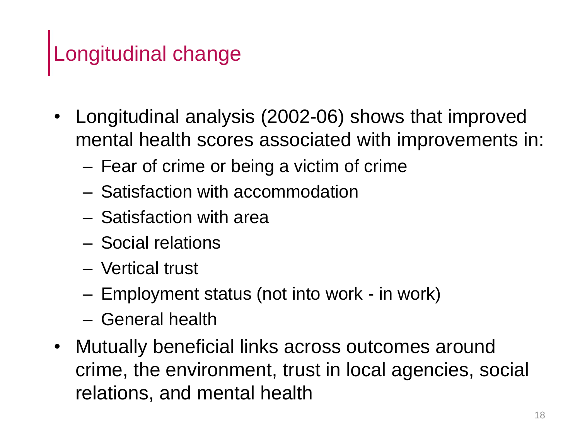## Longitudinal change

- Longitudinal analysis (2002-06) shows that improved mental health scores associated with improvements in:
	- Fear of crime or being a victim of crime
	- Satisfaction with accommodation
	- Satisfaction with area
	- Social relations
	- Vertical trust
	- Employment status (not into work in work)
	- General health
- Mutually beneficial links across outcomes around crime, the environment, trust in local agencies, social relations, and mental health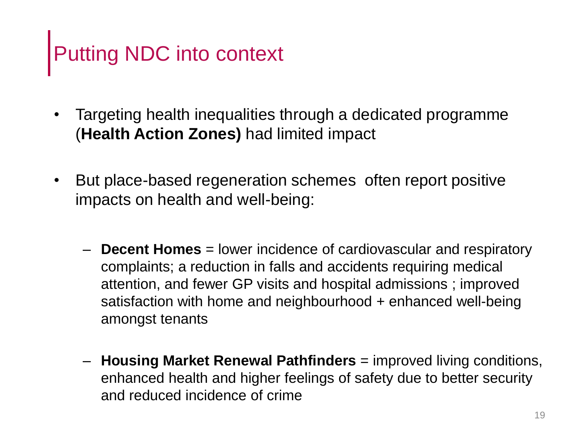# Putting NDC into context

- Targeting health inequalities through a dedicated programme (**Health Action Zones)** had limited impact
- But place-based regeneration schemes often report positive impacts on health and well-being:
	- **Decent Homes** = lower incidence of cardiovascular and respiratory complaints; a reduction in falls and accidents requiring medical attention, and fewer GP visits and hospital admissions ; improved satisfaction with home and neighbourhood + enhanced well-being amongst tenants
	- **Housing Market Renewal Pathfinders** = improved living conditions, enhanced health and higher feelings of safety due to better security and reduced incidence of crime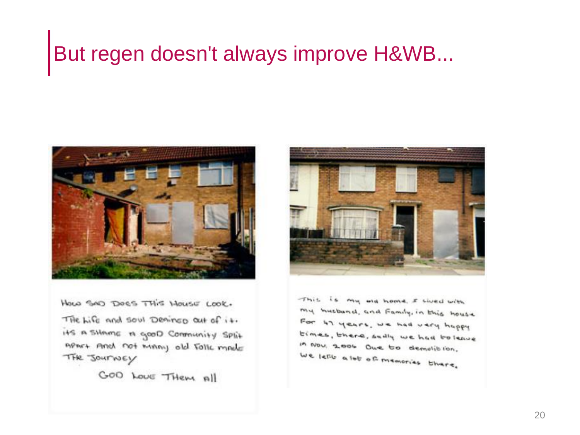## But regen doesn't always improve H&WB...



HOLD SAD DOES THIS HOUSE LOOK. THe Life and soul Deained out of it. its a stimme in good Community Split memore And not many old Tolls made THE JOUTNEY

GOO LOVE THEM All



This is my me home. I swed with my musband, and Family, in this house For 47 years, we had very happy times, there, saily we had to leave in Nov. 2006 One to demolision. We lette a lot of memories there.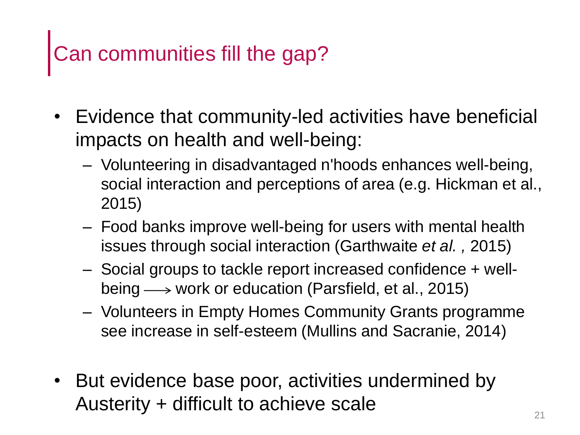## Can communities fill the gap?

- Evidence that community-led activities have beneficial impacts on health and well-being:
	- Volunteering in disadvantaged n'hoods enhances well-being, social interaction and perceptions of area (e.g. Hickman et al., 2015)
	- Food banks improve well-being for users with mental health issues through social interaction (Garthwaite *et al. ,* 2015)
	- Social groups to tackle report increased confidence + wellbeing  $\longrightarrow$  work or education (Parsfield, et al., 2015)
	- Volunteers in Empty Homes Community Grants programme see increase in self-esteem (Mullins and Sacranie, 2014)
- But evidence base poor, activities undermined by Austerity + difficult to achieve scale